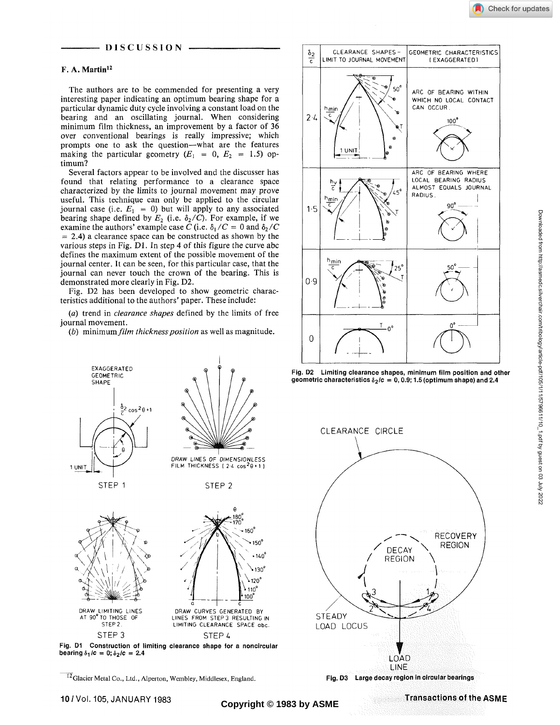

## **DISCUSSION -**

# **F. A. Martin<sup>12</sup>**

The authors are to be commended for presenting a very interesting paper indicating an optimum bearing shape for a particular dynamic duty cycle involving a constant load on the bearing and an oscillating journal. When considering minimum film thickness, an improvement by a factor of 36 over conventional bearings is really impressive; which prompts one to ask the question—what are the features making the particular geometry  $(E_1 = 0, E_2 = 1.5)$  optimum?

Several factors appear to be involved and the discusser has found that relating performance to a clearance space characterized by the limits to journal movement may prove useful. This technique can only be applied to the circular journal case (i.e.  $E_1 = 0$ ) but will apply to any associated bearing shape defined by  $E_2$  (i.e.  $\delta_2$  /C). For example, if we examine the authors' example case C (i.e.  $\delta_1/C = 0$  and  $\delta_2/C$  $= 2.4$ ) a clearance space can be constructed as shown by the various steps in Fig. Dl. In step 4 of this figure the curve abc defines the maximum extent of the possible movement of the journal center. It can be seen, for this particular case, that the journal can never touch the crown of the bearing. This is demonstrated more clearly in Fig. D2.

Fig. D2 has been developed to show geometric characteristics additional to the authors' paper. These include:

*(a)* trend in *clearance shapes* defined by the limits of free journal movement.

*(b)* minimum *film thickness position* as well as magnitude.



<sup>12</sup>Glacier Metal Co., Ltd., Alperton, Wembley, Middlesex, England.







**Fig. D3 Large decay region in circular bearings** 

**Transactions of the ASME Copyright © 1983 by ASME**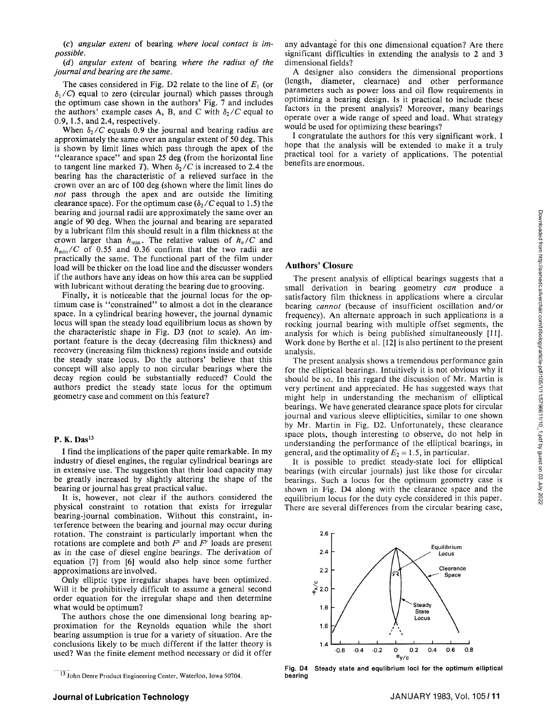(c) *angular extern* of bearing *where local contact is impossible.* 

*(d) angular extent* of bearing *where the radius of the journal and bearing are the same.* 

The cases considered in Fig. D2 relate to the line of *Ex* (or  $\delta_1$ /C) equal to zero (circular journal) which passes through the optimum case shown in the authors' Fig. 7 and includes the authors' example cases A, B, and C with  $\delta_2/C$  equal to 0.9,1.5, and 2.4, respectively.

When  $\delta$ <sup>2</sup>/*C* equals 0.9 the journal and bearing radius are approximately the same over an angular extent of 50 deg. This is shown by limit lines which pass through the apex of the "clearance space" and span 25 deg (from the horizontal line to tangent line marked T). When  $\delta$ <sup>2</sup>/C is increased to 2.4 the bearing has the characteristic of a relieved surface in the crown over an arc of 100 deg (shown where the limit lines do *not* pass through the apex and are outside the limiting clearance space). For the optimum case  $(\delta_2/C)$  equal to 1.5) the bearing and journal radii are approximately the same over an angle of 90 deg. When the journal and bearing are separated by a lubricant film this should result in a film thickness at the crown larger than  $h_{\min}$ . The relative values of  $h_v/C$  and  $h_{\min}/C$  of 0.55 and 0.36 confirm that the two radii are practically the same. The functional part of the film under load will be thicker on the load line and the discusser wonders if the authors have any ideas on how this area can be supplied with lubricant without derating the bearing due to grooving.

Finally, it is noticeable that the journal locus for the optimum case is "constrained" to almost a dot in the clearance space. In a cylindrical bearing however, the journal dynamic locus will span the steady load equilibrium locus as shown by the characteristic shape in Fig. D3 (not to scale). An important feature is the decay (decreasing film thickness) and recovery (increasing film thickness) regions inside and outside the steady state locus. Do the authors' believe that this concept will also apply to non circular bearings where the decay region could be substantially reduced? Could the authors predict the steady state locus for the optimum geometry case and comment on this feature?

## P. K. Das<sup>13</sup>

I find the implications of the paper quite remarkable. In my industry of diesel engines, the regular cylindrical bearings are in extensive use. The suggestion that their load capacity may be greatly increased by slightly altering the shape of the bearing or journal has great practical value.

It is, however, not clear if the authors considered the physical constraint to rotation that exists for irregular bearing-journal combination. Without this constraint, interference between the bearing and journal may occur during rotation. The constraint is particularly important when the rotations are complete and both *F\** and *F"* loads are present as in the case of diesel engine bearings. The derivation of equation [7] from [6] would also help since some further approximations are involved.

Only elliptic type irregular shapes have been optimized. Will it be prohibitively difficult to assume a general second order equation for the irregular shape and then determine what would be optimum?

The authors chose the one dimensional long bearing approximation for the Reynolds equation while the short bearing assumption is true for a variety of situation. Are the conclusions likely to be much different if the latter theory is used? Was the finite element method necessary or did it offer

any advantage for this one dimensional equation? Are there significant difficulties in extending the analysis to 2 and 3 dimensional fields?

A designer also considers the dimensional proportions (length, diameter, clearnace) and other performance parameters such as power loss and oil flow requirements in optimizing a bearing design. Is it practical to include these factors in the present analysis? Moreover, many bearings operate over a wide range of speed and load. What strategy would be used for optimizing these bearings?

I congratulate the authors for this very significant work. I hope that the analysis will be extended to make it a truly practical tool for a variety of applications. The potential benefits are enormous.

#### **Authors' Closure**

The present analysis of elliptical bearings suggests that a small derivation in bearing geometry *can* produce a satisfactory film thickness in applications where a circular bearing *cannot* (because of insufficient oscillation and/or frequency). An alternate approach in such applications is a rocking journal bearing with multiple offset segments, the analysis for which is being published simultaneously [11]. Work done by Berthe et al. [12] is also pertinent to the present analysis.

The present analysis shows a tremendous performance gain for the elliptical bearings. Intuitively it is not obvious why it should be so. In this regard the discussion of Mr. Martin is very pertinent and appreciated. He has suggested ways that might help in understanding the mechanism of elliptical bearings. We have generated clearance space plots for circular journal and various sleeve ellipticities, similar to one shown by Mr. Martin in Fig. D2. Unfortunately, these clearance space plots, though interesting to observe, do not help in understanding the performance of the elliptical bearings, in general, and the optimality of  $E_2 = 1.5$ , in particular.

It is possible to predict steady-state loci for elliptical bearings (with circular journals) just like those for circular bearings. Such a locus for the optimum geometry case is shown in Fig. D4 along with the clearance space and the equilibrium locus for the duty cycle considered in this paper. There are several differences from the circular bearing case,



Fig. D4 Steady state and equlibrium loci for the optimum elliptical bearing

<sup>&</sup>lt;sup>13</sup> John Deere Product Engineering Center, Waterloo, Iowa 50704.